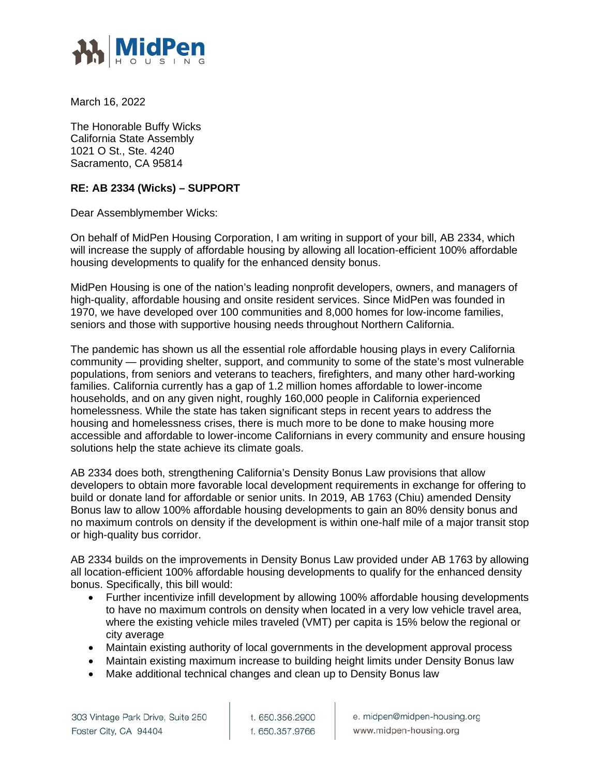

March 16, 2022

The Honorable Buffy Wicks California State Assembly 1021 O St., Ste. 4240 Sacramento, CA 95814

## **RE: AB 2334 (Wicks) – SUPPORT**

Dear Assemblymember Wicks:

On behalf of MidPen Housing Corporation, I am writing in support of your bill, AB 2334, which will increase the supply of affordable housing by allowing all location-efficient 100% affordable housing developments to qualify for the enhanced density bonus.

MidPen Housing is one of the nation's leading nonprofit developers, owners, and managers of high-quality, affordable housing and onsite resident services. Since MidPen was founded in 1970, we have developed over 100 communities and 8,000 homes for low-income families, seniors and those with supportive housing needs throughout Northern California.

The pandemic has shown us all the essential role affordable housing plays in every California community — providing shelter, support, and community to some of the state's most vulnerable populations, from seniors and veterans to teachers, firefighters, and many other hard-working families. California currently has a gap of 1.2 million homes affordable to lower-income households, and on any given night, roughly 160,000 people in California experienced homelessness. While the state has taken significant steps in recent years to address the housing and homelessness crises, there is much more to be done to make housing more accessible and affordable to lower-income Californians in every community and ensure housing solutions help the state achieve its climate goals.

AB 2334 does both, strengthening California's Density Bonus Law provisions that allow developers to obtain more favorable local development requirements in exchange for offering to build or donate land for affordable or senior units. In 2019, AB 1763 (Chiu) amended Density Bonus law to allow 100% affordable housing developments to gain an 80% density bonus and no maximum controls on density if the development is within one-half mile of a major transit stop or high-quality bus corridor.

AB 2334 builds on the improvements in Density Bonus Law provided under AB 1763 by allowing all location-efficient 100% affordable housing developments to qualify for the enhanced density bonus. Specifically, this bill would:

- Further incentivize infill development by allowing 100% affordable housing developments to have no maximum controls on density when located in a very low vehicle travel area, where the existing vehicle miles traveled (VMT) per capita is 15% below the regional or city average
- Maintain existing authority of local governments in the development approval process
- Maintain existing maximum increase to building height limits under Density Bonus law
- Make additional technical changes and clean up to Density Bonus law